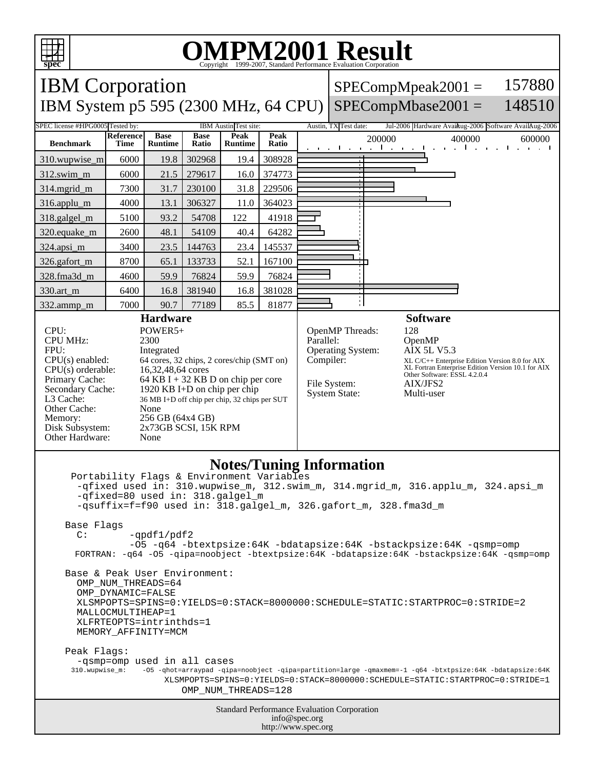

## **OMPM2001 Result**

Copyright 1999-2007, Standard Performance Evaluation Corporation IBM Corporation IBM System p5 595 (2300 MHz, 64 CPU) SPECompMbase2001 =  $SPECompMpeak2001 =$ 157880 148510 SPEC license #HPG0005 Tested by: IBM Austin Test site: Austin, TX Test date: Jul-2006 Hardware Avail: Austin, 2006 Austin TX Test date: **Benchmark Reference Time Base Runtime Base Ratio Peak Runtime Peak Peak** 200000 400000 600000 600000 310.wupwise\_m 6000 19.8 302968 19.4 308928 312.swim\_m 6000 21.5 279617 16.0 374773 314.mgrid\_m 7300 31.7 230100 31.8 229506 316.applu\_m 4000 13.1 306327 11.0 364023 318.galgel\_m | 5100 | 93.2 | 54708 | 122 | 41918 320.equake\_m 2600 48.1 54109 40.4 64282 324.apsi\_m | 3400 | 23.5 | 144763 | 23.4 | 145537 326.gafort\_m | 8700 65.1 | 133733 52.1 | 167100 328.fma3d\_m 4600 59.9 76824 59.9 76824 330.art\_m 6400 16.8 381940 16.8 381028 332.ammp\_m | 7000 | 90.7 | 77189 | 85.5 | 81877 **Hardware** CPU: POWER5+<br>CPU MHz: 2300 CPU MHz: FPU: Integrated  $CPU(s)$  enabled: 64 cores, 32 chips, 2 cores/chip (SMT on)<br> $CPU(s)$  orderable: 16,32,48,64 cores CPU(s) orderable:<br>Primary Cache: Primary Cache: 64 KB I + 32 KB D on chip per core<br>Secondary Cache: 1920 KB I+D on chip per chip 1920 KB I+D on chip per chip L3 Cache: 36 MB I+D off chip per chip, 32 chips per SUT Other Cache: None Memory: 256 GB (64x4 GB)<br>Disk Subsystem: 2x73GB SCSI, 15K **Software** OpenMP Threads: 128<br>Parallel: 0pe OpenMP Operating System: AIX 5L V5.3 Compiler: XL C/C++ Enterprise Edition Version 8.0 for AIX XL Fortran Enterprise Edition Version 10.1 for AIX Other Software: ESSL 4.2.0.4 File System: AIX/JFS2 System State: Multi-user

## **Notes/Tuning Information**

 Portability Flags & Environment Variables -qfixed used in: 310.wupwise\_m, 312.swim\_m, 314.mgrid\_m, 316.applu\_m, 324.apsi\_m -qfixed=80 used in: 318.galgel\_m -qsuffix=f=f90 used in: 318.galgel\_m, 326.gafort\_m, 328.fma3d\_m

Base Flags

Other Hardware: None

 $C:$  -qpdf1/pdf2 -O5 -q64 -btextpsize:64K -bdatapsize:64K -bstackpsize:64K -qsmp=omp FORTRAN: -q64 -O5 -qipa=noobject -btextpsize:64K -bdatapsize:64K -bstackpsize:64K -qsmp=omp

 Base & Peak User Environment: OMP NUM THREADS=64 OMP\_DYNAMIC=FALSE XLSMPOPTS=SPINS=0:YIELDS=0:STACK=8000000:SCHEDULE=STATIC:STARTPROC=0:STRIDE=2 MALLOCMULTIHEAP=1 XLFRTEOPTS=intrinthds=1 MEMORY\_AFFINITY=MCM

 Peak Flags: -qsmp=omp used in all cases<br>310.wupwise\_m: -05 -qhot=arraypad -qip;

2x73GB SCSI, 15K RPM

 310.wupwise\_m: -O5 -qhot=arraypad -qipa=noobject -qipa=partition=large -qmaxmem=-1 -q64 -btxtpsize:64K -bdatapsize:64K XLSMPOPTS=SPINS=0:YIELDS=0:STACK=8000000:SCHEDULE=STATIC:STARTPROC=0:STRIDE=1 OMP\_NUM\_THREADS=128

> Standard Performance Evaluation Corporation info@spec.org http://www.spec.org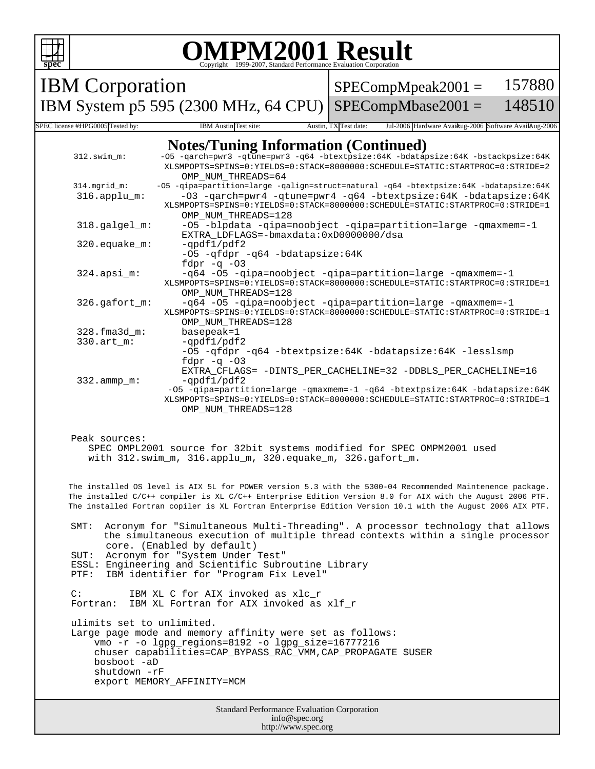